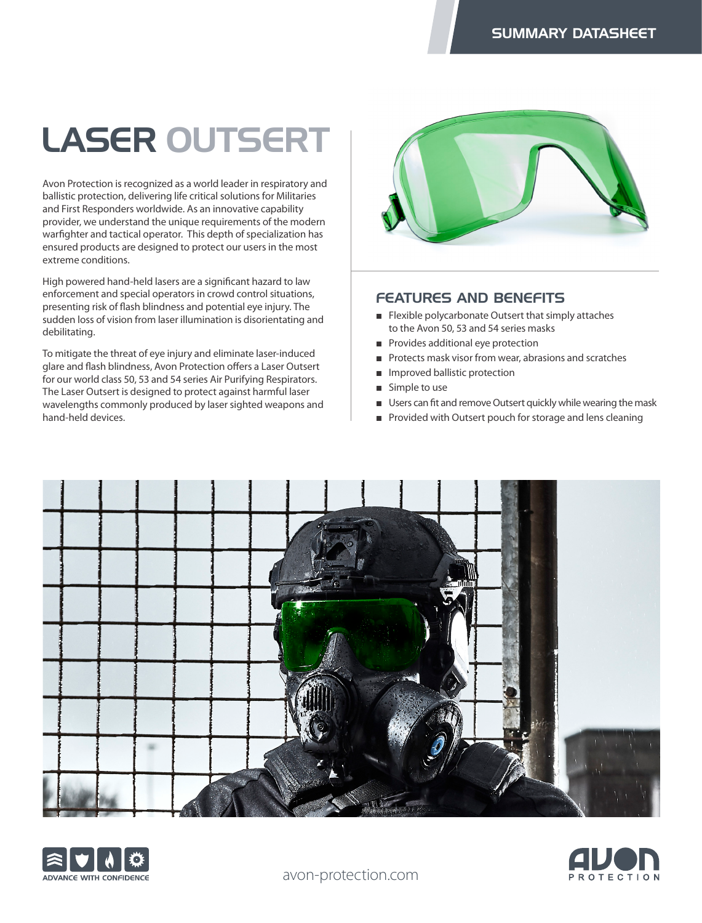## LASER OUTSERT

Avon Protection is recognized as a world leader in respiratory and ballistic protection, delivering life critical solutions for Militaries and First Responders worldwide. As an innovative capability provider, we understand the unique requirements of the modern warfighter and tactical operator. This depth of specialization has ensured products are designed to protect our users in the most extreme conditions.

High powered hand-held lasers are a significant hazard to law enforcement and special operators in crowd control situations, presenting risk of flash blindness and potential eye injury. The sudden loss of vision from laser illumination is disorientating and debilitating.

To mitigate the threat of eye injury and eliminate laser-induced glare and flash blindness, Avon Protection offers a Laser Outsert for our world class 50, 53 and 54 series Air Purifying Respirators. The Laser Outsert is designed to protect against harmful laser wavelengths commonly produced by laser sighted weapons and hand-held devices.



## FEATURES AND BENEFITS

- Flexible polycarbonate Outsert that simply attaches to the Avon 50, 53 and 54 series masks
- Provides additional eye protection
- Protects mask visor from wear, abrasions and scratches
- Improved ballistic protection
- Simple to use
- Users can fit and remove Outsert quickly while wearing the mask
- Provided with Outsert pouch for storage and lens cleaning